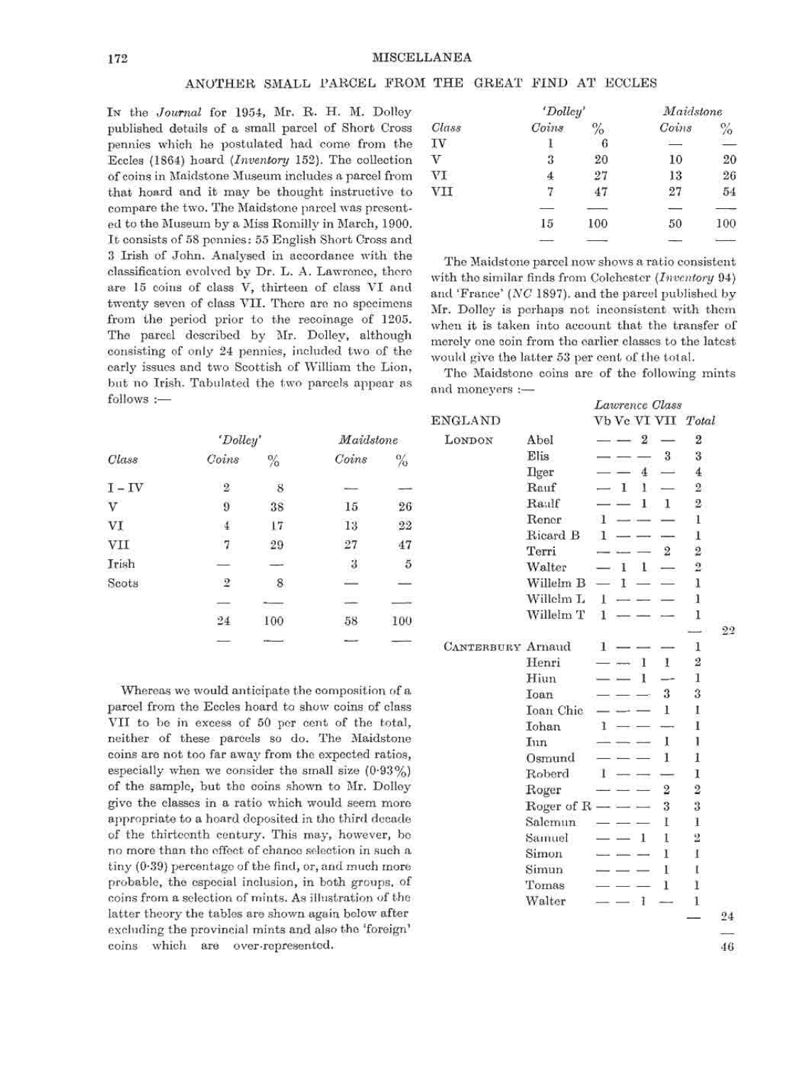## ANOTHER SMALL PARCEL FROM THE GREAT FIND AT ECCLES

IN the *Journal* for 1954, Mr. R. H. M. Dolley published details of a small parcel of Short Cross pennies which he postulated had come from the Eccles (1864) hoard *(Inventory* 152). The collection of coins in Maidstone Museum includes a parcel from that hoard and it may be thought instructive to compare the two. The Maidstone parcel was present- ed to the Museum by a Miss Romilly in March, 1900. It consists of 58 pennies: 55 English Short Cross and 3 Irish of John. Analysed in accordance with the classification evolved by Dr. L. A. Lawrence, there are 15 coins of class V, thirteen of class VI and twenty seven of class VII. There are no specimens from the period prior to the recoinage of 1205. The parcel described by Mr. Dolley, although consisting of only 24 pennies, included two of the early issues and two Scottish of William the Lion, but no Irish. Tabulated the two parcels appear as follows :—

|                         | 'Dolley' |      | Maidstone |       |  |
|-------------------------|----------|------|-----------|-------|--|
| Class                   | Coins    | $\%$ | Coins     | $\%$  |  |
| IV                      |          | 6    | $-1$      |       |  |
| $\overline{\mathbf{V}}$ | 3        | 20   | 10        | 20    |  |
| VI                      | €        | 27   | 13        | 26    |  |
| VII                     |          |      | 27        | 54    |  |
|                         |          |      |           | $-77$ |  |
|                         | 15       | 100  | 50        | 100   |  |
|                         |          | $-1$ | ST.       |       |  |

The Maidstone parcel now shows a ratio consistent with the similar finds from Colchester *(Inventory* 94) and 'France' *(NC* 1897). and the parcel published by Mr. Dolley is perhaps not inconsistent with them when it is taken into account that the transfer of merely one coin from the earlier classes to the latest would give the latter 53 per cent of the total. The Maidstone coins are of the following mints

and moneyers :—

| Class    | 'Dolley'                 |               | Maidstone            |                          |  |
|----------|--------------------------|---------------|----------------------|--------------------------|--|
|          | Coins                    | $\frac{0}{2}$ | Coins                | $\%$                     |  |
| $I - IV$ | $\overline{2}$           | 8             |                      |                          |  |
| V        | 9                        | 38            | 15                   | 26                       |  |
| VI       | $\cdot$ 4                | 17            | 13                   | 22                       |  |
| VII      | 7                        | 29            | 27                   | 47                       |  |
| Irish    |                          |               | $\boldsymbol{\beta}$ | 5                        |  |
| Scots    | $\overline{2}$           | $\,$ 8 $\,$   |                      | ≕                        |  |
|          | $\overline{\phantom{a}}$ |               |                      | ÷                        |  |
|          | 24                       | 100           | 58                   | 100                      |  |
|          | $\equiv$                 | $\cdots$      |                      | $\overline{\phantom{a}}$ |  |

Whereas we would anticipate the composition of a parcel from the Eccles hoard to show coins of class V II to be in excess of 50 per cent of the total, neither of these parcels so do. The Maidstone coins are not too far away from the expected ratios, especially when we consider the small size (0-93%) of the sample, but the coins shown to Mr. Dolley give the classes in a ratio which would seem more appropriate to a hoard deposited in the third dccade of the thirteenth century. This may, however, bo no more than the effect of chance selection in such a tiny (0-39) percentage of the find, or, and much more probable, the especial inclusion, in both groups, of coins from a selection of mints. As illustration of the latter theory the tables are shown again below after excluding the provincial mints and also the 'foreign' coins which are over-represented.

| $mu$ moneyers $:=$       |                    |                      |                |                  |    |
|--------------------------|--------------------|----------------------|----------------|------------------|----|
|                          |                    | Lawrence Class       |                |                  |    |
| <b>ENGLAND</b>           |                    | Vb Vc VI VII Total   |                |                  |    |
| LONDON                   | Abel               | $-2-$                |                | $\mathbf{2}$     |    |
|                          | Elis               |                      | $3 -$          | 3                |    |
|                          | Ilger              | $\overline{4}$       |                | $\overline{4}$   |    |
|                          | Rauf               | $-1$<br>4            |                | $\overline{2}$   |    |
|                          | Raulf              | 1.                   | $\mathbf{1}$   | $\overline{2}$ : |    |
|                          | Rener              | $\mathbf{1}$         |                | 1                |    |
|                          | Ricard B           | $\mathbf{I}$<br>---  |                | 1                |    |
|                          | Terri              |                      | $\overline{2}$ | $\overline{2}$   |    |
|                          | Walter             | $\mathbf{1}$<br>$-1$ |                | $\overline{2}$   |    |
|                          | Willelm B          | $-1-$                |                | 1                |    |
|                          | Willelm L          | The process comes    |                | 1                |    |
|                          | Willelm T          | $\mathbf{1}$         |                | 1                |    |
|                          |                    |                      |                |                  | 22 |
| <b>CANTERBURY Arnaud</b> |                    | $\mathbf{1}$         |                | 1                |    |
|                          | Henri              | - 1                  | 1              | 2                |    |
|                          | Hiun               | 1<br>$-15 - 1$       |                | 1                |    |
|                          | Ioan               |                      | 3              | 3                |    |
|                          | Ioan Chic          |                      | Ŧ              | 1                |    |
|                          | Iohan              | 1                    |                | 1                |    |
|                          | Iun                |                      | I              | ı                |    |
|                          | Osmund             |                      | 1              | 1                |    |
|                          | Roberd             | л.                   |                | 1                |    |
|                          | Roger              |                      | $\overline{2}$ | $\overline{2}$   |    |
|                          | Roger of $R$ — — — |                      | 3              | 3                |    |
|                          | Salemun            |                      | F              | Ŧ                |    |
|                          | Samuel             | 1                    | Ľ              | $\overline{2}$   |    |
|                          | Simon              |                      | 1              | $\mathbf{I}$     |    |
|                          | Simun              |                      | E              | ı                |    |
|                          | Tomas              |                      | 1              | ı                |    |
|                          | Walter             | $- - 1$              |                | 1                |    |
|                          |                    |                      |                |                  | 24 |
|                          |                    |                      |                |                  |    |

46